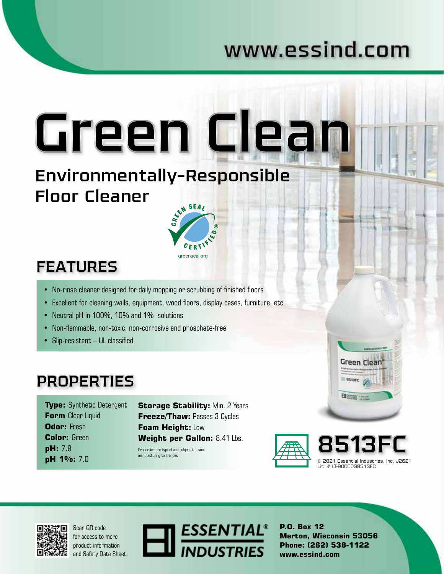## www.essind.com

Environmentally-Responsible Floor Cleaner



Green Clean

### **FEATURES**

- No-rinse cleaner designed for daily mopping or scrubbing of finished floors
- Excellent for cleaning walls, equipment, wood floors, display cases, furniture, etc.
- Neutral pH in 100%, 10% and 1% solutions
- Non-flammable, non-toxic, non-corrosive and phosphate-free
- Slip-resistant UL classified

### **PROPERTIES**

**Type:** Synthetic Detergent **Form** Clear Liquid **Odor:** Fresh **Color:** Green **pH:** 7.8 **pH 1%:** 7.0

**Storage Stability: Min. 2 Years Freeze/Thaw:** Passes 3 Cycles **Foam Height:** Low **Weight per Gallon:** 8.41 Lbs.

Properties are typical and subject to usual manufacturing tolerances





**Green Clean** 

B assare

日 200

Scan QR code for access to more product information and Safety Data Sheet.



**P.O. Box 12 Merton, Wisconsin 53056 Phone: (262) 538-1122 www.essind.com**